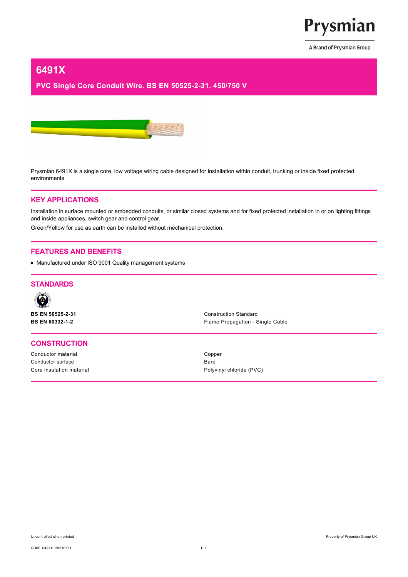

A Brand of Prysmian Group

# **6491X**

# **PVC Single Core Conduit Wire. BS EN 50525-2-31. 450/750 V**



Prysmian 6491X is a single core, low voltage wiring cable designed for installation within conduit, trunking or inside fixed protected environments

#### **KEY APPLICATIONS**

Installation in surface mounted or embedded conduits, or similar closed systems and for fixed protected installation in or on lighting fittings and inside appliances, switch gear and control gear.

Green/Yellow for use as earth can be installed without mechanical protection.

## **FEATURES AND BENEFITS**

Manufactured under ISO 9001 Quality management systems

# **STANDARDS**



**BS EN 50525-2-31** Construction Standard

#### **CONSTRUCTION**

Conductor material Conductor material Competition Competition Competition Competition Competition Competition Competition Competition Competition Competition Competition Competition Competition Competition Competition Comp Conductor surface Bare

**BS EN 60332-1-2** Flame Propagation - Single Cable

Core insulation material example of the core insulation material example of  $P$ olyvinyl chloride (PVC)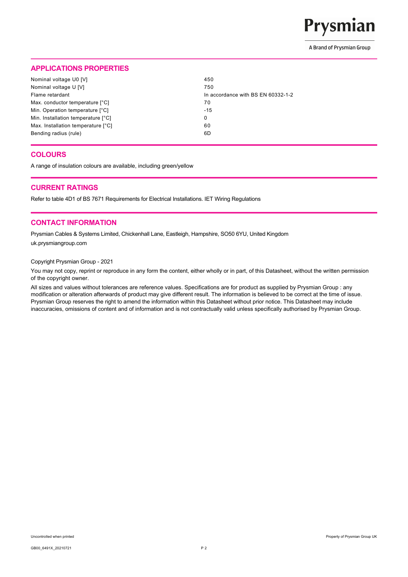

A Brand of Prysmian Group

# **APPLICATIONS PROPERTIES**

| Nominal voltage U0 [V]             | 450                                |
|------------------------------------|------------------------------------|
| Nominal voltage U [V]              | 750                                |
| Flame retardant                    | In accordance with BS EN 60332-1-2 |
| Max. conductor temperature [°C]    | 70                                 |
| Min. Operation temperature [°C]    | $-15$                              |
| Min. Installation temperature [°C] | 0                                  |
| Max. Installation temperature [°C] | 60                                 |
| Bending radius (rule)              | 6D                                 |

## **COLOURS**

A range of insulation colours are available, including green/yellow

#### **CURRENT RATINGS**

Refer to table 4D1 of BS 7671 Requirements for Electrical Installations. IET Wiring Regulations

## **CONTACT INFORMATION**

Prysmian Cables & Systems Limited, Chickenhall Lane, Eastleigh, Hampshire, SO50 6YU, United Kingdom uk.prysmiangroup.com

#### Copyright Prysmian Group - 2021

You may not copy, reprint or reproduce in any form the content, either wholly or in part, of this Datasheet, without the written permission of the copyright owner.

All sizes and values without tolerances are reference values. Specifications are for product as supplied by Prysmian Group : any modification or alteration afterwards of product may give different result. The information is believed to be correct at the time of issue. Prysmian Group reserves the right to amend the information within this Datasheet without prior notice. This Datasheet may include inaccuracies, omissions of content and of information and is not contractually valid unless specifically authorised by Prysmian Group.